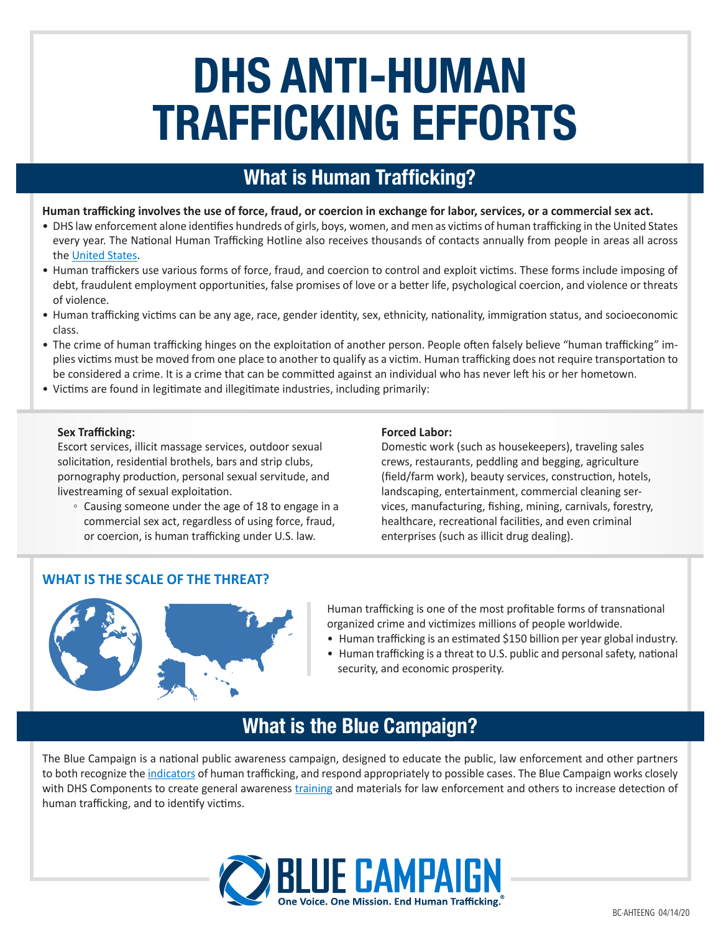# **DHS ANTI-HUMAN TRAFFICKING EFFORTS**

## **What is Human Trafficking?**

#### **Human trafficking involves the use of force, fraud, or coercion in exchange for labor, services, or a commercial sex act.**

- DHS law enforcement alone identifies hundreds of girls, boys, women, and men as victims of human trafficking in the United States every year. The National Human Trafficking Hotline also receives thousands of contacts annually from people in areas all across the [United States](https://humantraffickinghotline.org/states).
- Human traffickers use various forms of force, fraud, and coercion to control and exploit victims. These forms include imposing of debt, fraudulent employment opportunities, false promises of love or a better life, psychological coercion, and violence or threats of violence.
- Human trafficking victims can be any age, race, gender identity, sex, ethnicity, nationality, immigration status, and socioeconomic class.
- The crime of human trafficking hinges on the exploitation of another person. People often falsely believe "human trafficking" implies victims must be moved from one place to another to qualify as a victim. Human trafficking does not require transportation to be considered a crime. It is a crime that can be committed against an individual who has never left his or her hometown.
- Victims are found in legitimate and illegitimate industries, including primarily:

#### **Sex Trafficking:**

Escort services, illicit massage services, outdoor sexual solicitation, residential brothels, bars and strip clubs, pornography production, personal sexual servitude, and livestreaming of sexual exploitation.

◦ Causing someone under the age of 18 to engage in a commercial sex act, regardless of using force, fraud, or coercion, is human trafficking under U.S. law.

#### **Forced Labor:**

Domestic work (such as housekeepers), traveling sales crews, restaurants, peddling and begging, agriculture (field/farm work), beauty services, construction, hotels, landscaping, entertainment, commercial cleaning services, manufacturing, fishing, mining, carnivals, forestry, healthcare, recreational facilities, and even criminal enterprises (such as illicit drug dealing).

## **WHAT IS THE SCALE OF THE THREAT?**



Human trafficking is one of the most profitable forms of transnational organized crime and victimizes millions of people worldwide.

- Human trafficking is an estimated \$150 billion per year global industry.
- Human trafficking is a threat to U.S. public and personal safety, national security, and economic prosperity.

## **What is the Blue Campaign?**

The Blue Campaign is a national public awareness campaign, designed to educate the public, law enforcement and other partners to both recognize the [indicators](https://www.dhs.gov/blue-campaign/indicators-human-trafficking) of human trafficking, and respond appropriately to possible cases. The Blue Campaign works closely with DHS Components to create general awareness [training](https://www.dhs.gov/blue-campaign/awareness-training) and materials for law enforcement and others to increase detection of human trafficking, and to identify victims.